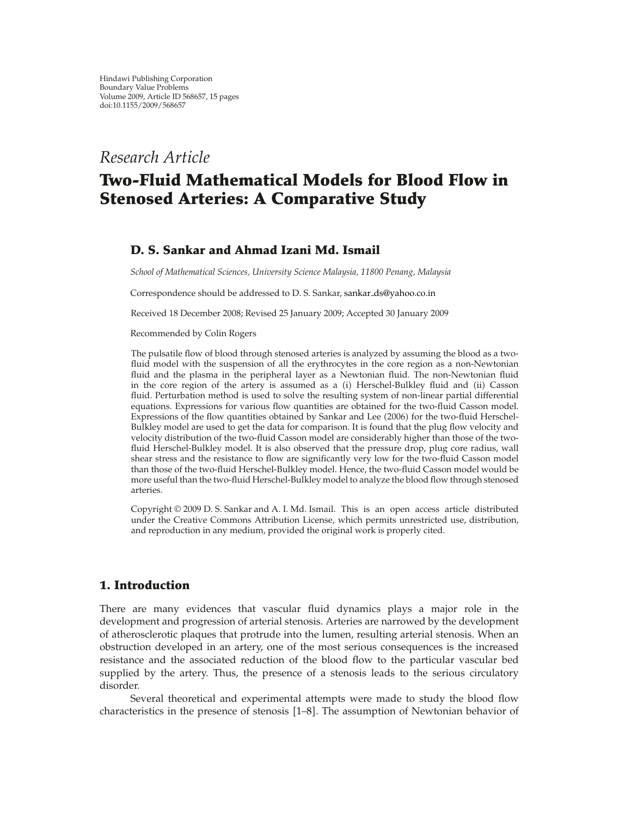*Research Article*

# **Two-Fluid Mathematical Models for Blood Flow in Stenosed Arteries: A Comparative Study**

# **D. S. Sankar and Ahmad Izani Md. Ismail**

*School of Mathematical Sciences, University Science Malaysia, 11800 Penang, Malaysia*

Correspondence should be addressed to D. S. Sankar, sankar ds@yahoo.co.in

Received 18 December 2008; Revised 25 January 2009; Accepted 30 January 2009

Recommended by Colin Rogers

The pulsatile flow of blood through stenosed arteries is analyzed by assuming the blood as a twofluid model with the suspension of all the erythrocytes in the core region as a non-Newtonian fluid and the plasma in the peripheral layer as a Newtonian fluid. The non-Newtonian fluid in the core region of the artery is assumed as a (i) Herschel-Bulkley fluid and (ii) Casson fluid. Perturbation method is used to solve the resulting system of non-linear partial differential equations. Expressions for various flow quantities are obtained for the two-fluid Casson model. Expressions of the flow quantities obtained by Sankar and Lee (2006) for the two-fluid Herschel-Bulkley model are used to get the data for comparison. It is found that the plug flow velocity and velocity distribution of the two-fluid Casson model are considerably higher than those of the twofluid Herschel-Bulkley model. It is also observed that the pressure drop, plug core radius, wall shear stress and the resistance to flow are significantly very low for the two-fluid Casson model than those of the two-fluid Herschel-Bulkley model. Hence, the two-fluid Casson model would be more useful than the two-fluid Herschel-Bulkley model to analyze the blood flow through stenosed arteries.

Copyright q 2009 D. S. Sankar and A. I. Md. Ismail. This is an open access article distributed under the Creative Commons Attribution License, which permits unrestricted use, distribution, and reproduction in any medium, provided the original work is properly cited.

# **1. Introduction**

There are many evidences that vascular fluid dynamics plays a major role in the development and progression of arterial stenosis. Arteries are narrowed by the development of atherosclerotic plaques that protrude into the lumen, resulting arterial stenosis. When an obstruction developed in an artery, one of the most serious consequences is the increased resistance and the associated reduction of the blood flow to the particular vascular bed supplied by the artery. Thus, the presence of a stenosis leads to the serious circulatory disorder.

Several theoretical and experimental attempts were made to study the blood flow characteristics in the presence of stenosis [1–8]. The assumption of Newtonian behavior of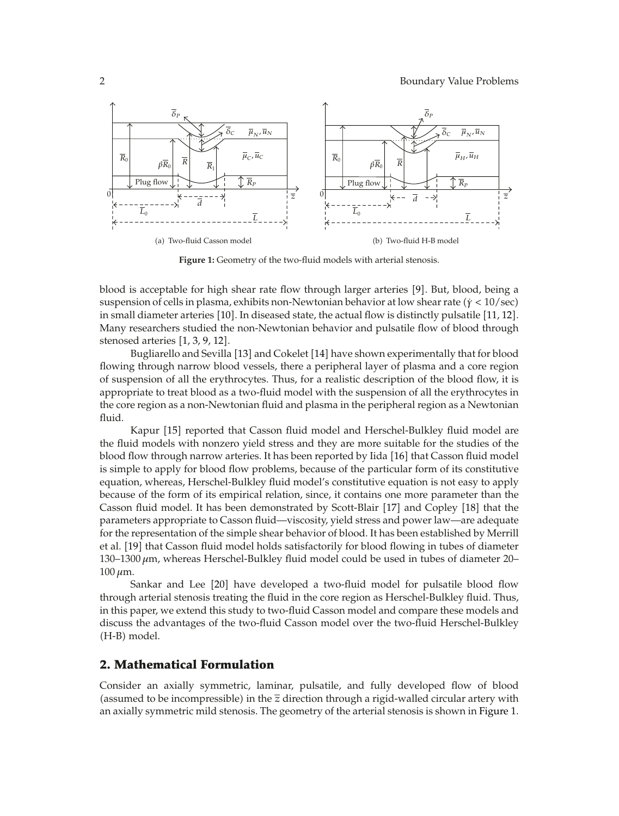

**Figure 1:** Geometry of the two-fluid models with arterial stenosis.

blood is acceptable for high shear rate flow through larger arteries [9]. But, blood, being a suspension of cells in plasma, exhibits non-Newtonian behavior at low shear rate ( $\dot{\gamma} < 10/sec$ ) in small diameter arteries [10]. In diseased state, the actual flow is distinctly pulsatile [11, 12]. Many researchers studied the non-Newtonian behavior and pulsatile flow of blood through stenosed arteries [1, 3, 9, 12].

Bugliarello and Sevilla [13] and Cokelet [14] have shown experimentally that for blood flowing through narrow blood vessels, there a peripheral layer of plasma and a core region of suspension of all the erythrocytes. Thus, for a realistic description of the blood flow, it is appropriate to treat blood as a two-fluid model with the suspension of all the erythrocytes in the core region as a non-Newtonian fluid and plasma in the peripheral region as a Newtonian fluid.

Kapur [15] reported that Casson fluid model and Herschel-Bulkley fluid model are the fluid models with nonzero yield stress and they are more suitable for the studies of the blood flow through narrow arteries. It has been reported by Iida  $[16]$  that Casson fluid model is simple to apply for blood flow problems, because of the particular form of its constitutive equation, whereas, Herschel-Bulkley fluid model's constitutive equation is not easy to apply because of the form of its empirical relation, since, it contains one more parameter than the Casson fluid model. It has been demonstrated by Scott-Blair [17] and Copley [18] that the parameters appropriate to Casson fluid—viscosity, yield stress and power law—are adequate for the representation of the simple shear behavior of blood. It has been established by Merrill et al. [19] that Casson fluid model holds satisfactorily for blood flowing in tubes of diameter 130–1300  $μ$ m, whereas Herschel-Bulkley fluid model could be used in tubes of diameter 20– 100 *μ*m.

Sankar and Lee [20] have developed a two-fluid model for pulsatile blood flow through arterial stenosis treating the fluid in the core region as Herschel-Bulkley fluid. Thus, in this paper, we extend this study to two-fluid Casson model and compare these models and discuss the advantages of the two-fluid Casson model over the two-fluid Herschel-Bulkley (H-B) model.

## **2. Mathematical Formulation**

Consider an axially symmetric, laminar, pulsatile, and fully developed flow of blood (assumed to be incompressible) in the  $\bar{z}$  direction through a rigid-walled circular artery with an axially symmetric mild stenosis. The geometry of the arterial stenosis is shown in Figure 1.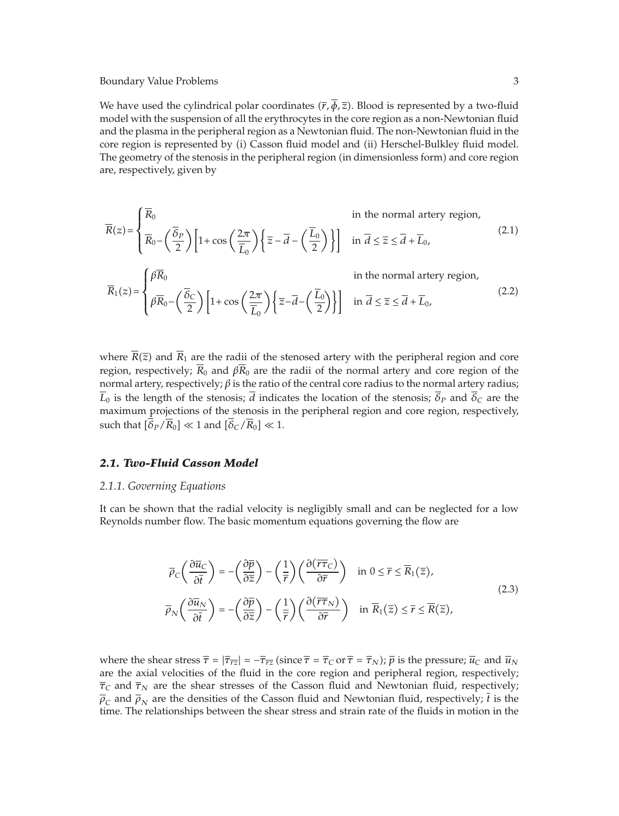We have used the cylindrical polar coordinates  $(\bar{r}, \phi, \bar{z})$ . Blood is represented by a two-fluid model with the suspension of all the erythrocytes in the core region as a non-Newtonian fluid and the plasma in the peripheral region as a Newtonian fluid. The non-Newtonian fluid in the core region is represented by (i) Casson fluid model and (ii) Herschel-Bulkley fluid model. The geometry of the stenosis in the peripheral region (in dimensionless form) and core region are, respectively, given by

$$
\overline{R}(z) = \begin{cases}\n\overline{R}_0 & \text{in the normal artery region,} \\
\overline{R}_0 - \left(\frac{\overline{G}_P}{2}\right) \left[1 + \cos\left(\frac{2\pi}{\overline{L}_0}\right) \left\{\overline{z} - \overline{d} - \left(\frac{\overline{L}_0}{2}\right)\right\}\right] & \text{in } \overline{d} \le \overline{z} \le \overline{d} + \overline{L}_0,\n\end{cases}
$$
\n(2.1)

$$
\overline{R}_1(z) = \begin{cases} \beta \overline{R}_0 & \text{in the normal artery region,} \\ \beta \overline{R}_0 - \left(\frac{\overline{\delta}_C}{2}\right) \left[1 + \cos\left(\frac{2\pi}{\overline{L}_0}\right) \left\{\overline{z} - \overline{d} - \left(\frac{\overline{L}_0}{2}\right)\right\}\right] & \text{in } \overline{d} \le \overline{z} \le \overline{d} + \overline{L}_0, \end{cases}
$$
(2.2)

where  $R(\overline{z})$  and  $R_1$  are the radii of the stenosed artery with the peripheral region and core region, respectively;  $\overline{R}_0$  and  $\beta \overline{R}_0$  are the radii of the normal artery and core region of the normal artery, respectively; *β* is the ratio of the central core radius to the normal artery radius;  $\overline{L}_0$  is the length of the stenosis;  $\overline{d}$  indicates the location of the stenosis;  $\overline{\delta}_P$  and  $\overline{\delta}_C$  are the maximum projections of the stenosis in the peripheral region and core region, respectively, such that  $\left[\overline{\delta}_P/\overline{R}_0\right] \ll 1$  and  $\left[\overline{\delta}_C/\overline{R}_0\right] \ll 1$ .

#### *2.1. Two-Fluid Casson Model*

#### *2.1.1. Governing Equations*

It can be shown that the radial velocity is negligibly small and can be neglected for a low Reynolds number flow. The basic momentum equations governing the flow are

$$
\overline{\rho}_C \left( \frac{\partial \overline{u}_C}{\partial \overline{t}} \right) = -\left( \frac{\partial \overline{p}}{\partial \overline{z}} \right) - \left( \frac{1}{\overline{r}} \right) \left( \frac{\partial (\overline{r} \overline{\tau}_C)}{\partial \overline{r}} \right) \quad \text{in } 0 \le \overline{r} \le \overline{R}_1(\overline{z}),
$$
\n
$$
\overline{\rho}_N \left( \frac{\partial \overline{u}_N}{\partial \overline{t}} \right) = -\left( \frac{\partial \overline{p}}{\partial \overline{z}} \right) - \left( \frac{1}{\overline{r}} \right) \left( \frac{\partial (\overline{r} \overline{\tau}_N)}{\partial \overline{r}} \right) \quad \text{in } \overline{R}_1(\overline{z}) \le \overline{r} \le \overline{R}(\overline{z}),
$$
\n(2.3)

where the shear stress  $\overline{\tau} = |\overline{\tau}_{\overline{r}z}| = -\overline{\tau}_{\overline{r}z}$  (since  $\overline{\tau} = \overline{\tau}_C$  or  $\overline{\tau} = \overline{\tau}_N$ );  $\overline{p}$  is the pressure;  $\overline{u}_C$  and  $\overline{u}_N$ are the axial velocities of the fluid in the core region and peripheral region, respectively;  $\overline{\tau}_C$  and  $\overline{\tau}_N$  are the shear stresses of the Casson fluid and Newtonian fluid, respectively;  $\overline{\rho}_C$  and  $\overline{\rho}_N$  are the densities of the Casson fluid and Newtonian fluid, respectively; *t* is the time. The relationships between the shear stress and strain rate of the fluids in motion in the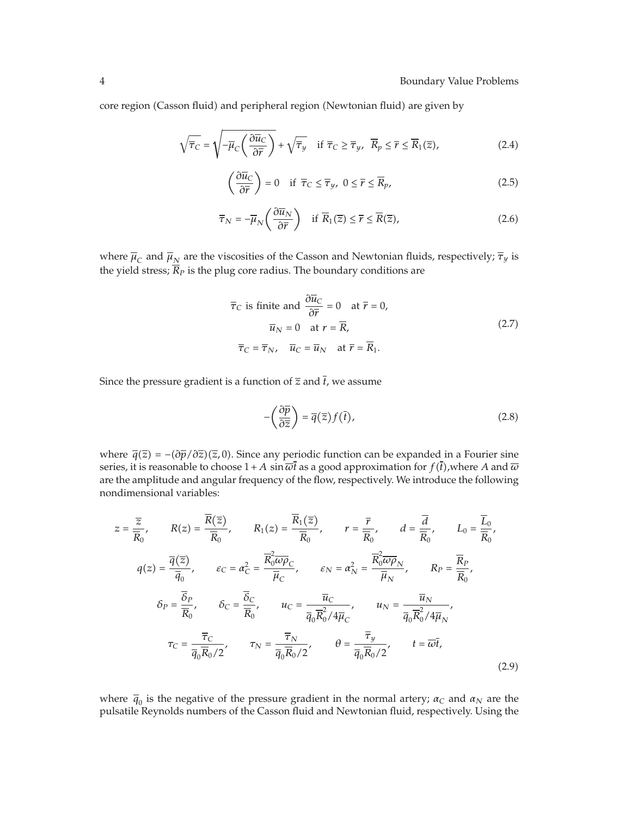core region (Casson fluid) and peripheral region (Newtonian fluid) are given by

$$
\sqrt{\overline{\tau}_C} = \sqrt{-\overline{\mu}_C \left(\frac{\partial \overline{u}_C}{\partial \overline{r}}\right)} + \sqrt{\overline{\tau}_y} \quad \text{if } \overline{\tau}_C \ge \overline{\tau}_y, \ \overline{R}_p \le \overline{r} \le \overline{R}_1(\overline{z}), \tag{2.4}
$$

$$
\left(\frac{\partial \overline{u}_C}{\partial \overline{r}}\right) = 0 \quad \text{if } \overline{\tau}_C \le \overline{\tau}_y, \ 0 \le \overline{r} \le \overline{R}_p,\tag{2.5}
$$

$$
\overline{\tau}_N = -\overline{\mu}_N \left( \frac{\partial \overline{u}_N}{\partial \overline{r}} \right) \quad \text{if } \overline{R}_1(\overline{z}) \le \overline{r} \le \overline{R}(\overline{z}), \tag{2.6}
$$

where  $\overline{\mu}_C$  and  $\overline{\mu}_N$  are the viscosities of the Casson and Newtonian fluids, respectively;  $\overline{\tau}_y$  is the yield stress;  $\overline{R}_P$  is the plug core radius. The boundary conditions are

$$
\overline{\tau}_C
$$
 is finite and  $\frac{\partial \overline{u}_C}{\partial \overline{r}} = 0$  at  $\overline{r} = 0$ ,  
\n $\overline{u}_N = 0$  at  $r = \overline{R}$ ,  
\n $\overline{\tau}_C = \overline{\tau}_N$ ,  $\overline{u}_C = \overline{u}_N$  at  $\overline{r} = \overline{R}_1$ . (2.7)

Since the pressure gradient is a function of  $\overline{z}$  and  $\overline{t}$ , we assume

$$
-\left(\frac{\partial \overline{p}}{\partial \overline{z}}\right) = \overline{q}(\overline{z})f(\overline{t}),\tag{2.8}
$$

where  $\overline{q}(\overline{z}) = -(\partial \overline{p}/\partial \overline{z})(\overline{z}, 0)$ . Since any periodic function can be expanded in a Fourier sine series, it is reasonable to choose  $1+A\,\sin\overline{\omega} t$  as a good approximation for  $f(t)$ ,where  $A$  and  $\overline{\omega}$ are the amplitude and angular frequency of the flow, respectively. We introduce the following nondimensional variables:

$$
z = \frac{\overline{z}}{\overline{R}_{0}}, \qquad R(z) = \frac{\overline{R}(\overline{z})}{\overline{R}_{0}}, \qquad R_{1}(z) = \frac{\overline{R}_{1}(\overline{z})}{\overline{R}_{0}}, \qquad r = \frac{\overline{r}}{\overline{R}_{0}}, \qquad d = \frac{\overline{d}}{\overline{R}_{0}}, \qquad L_{0} = \frac{\overline{L}_{0}}{\overline{R}_{0}},
$$
  

$$
q(z) = \frac{\overline{q}(\overline{z})}{\overline{q}_{0}}, \qquad \varepsilon_{C} = \alpha_{C}^{2} = \frac{\overline{R}_{0}^{2} \overline{\omega} \overline{\rho}_{C}}{\overline{\mu}_{C}}, \qquad \varepsilon_{N} = \alpha_{N}^{2} = \frac{\overline{R}_{0}^{2} \overline{\omega} \overline{\rho}_{N}}{\overline{\mu}_{N}}, \qquad R_{P} = \frac{\overline{R}_{P}}{\overline{R}_{0}},
$$
  

$$
\delta_{P} = \frac{\overline{\delta}_{P}}{\overline{R}_{0}}, \qquad \delta_{C} = \frac{\overline{\delta}_{C}}{\overline{R}_{0}}, \qquad u_{C} = \frac{\overline{u}_{C}}{\overline{q}_{0}\overline{R}_{0}^{2}/4\overline{\mu}_{C}}, \qquad u_{N} = \frac{\overline{u}_{N}}{\overline{q}_{0}\overline{R}_{0}^{2}/4\overline{\mu}_{N}},
$$
  

$$
\tau_{C} = \frac{\overline{\tau}_{C}}{\overline{q}_{0}\overline{R}_{0}/2}, \qquad \tau_{N} = \frac{\overline{\tau}_{N}}{\overline{q}_{0}\overline{R}_{0}/2}, \qquad \theta = \frac{\overline{\tau}_{y}}{\overline{q}_{0}\overline{R}_{0}/2}, \qquad t = \overline{\omega}\overline{t},
$$
  
(2.9)

where  $\bar{q}_0$  is the negative of the pressure gradient in the normal artery;  $\alpha_C$  and  $\alpha_N$  are the pulsatile Reynolds numbers of the Casson fluid and Newtonian fluid, respectively. Using the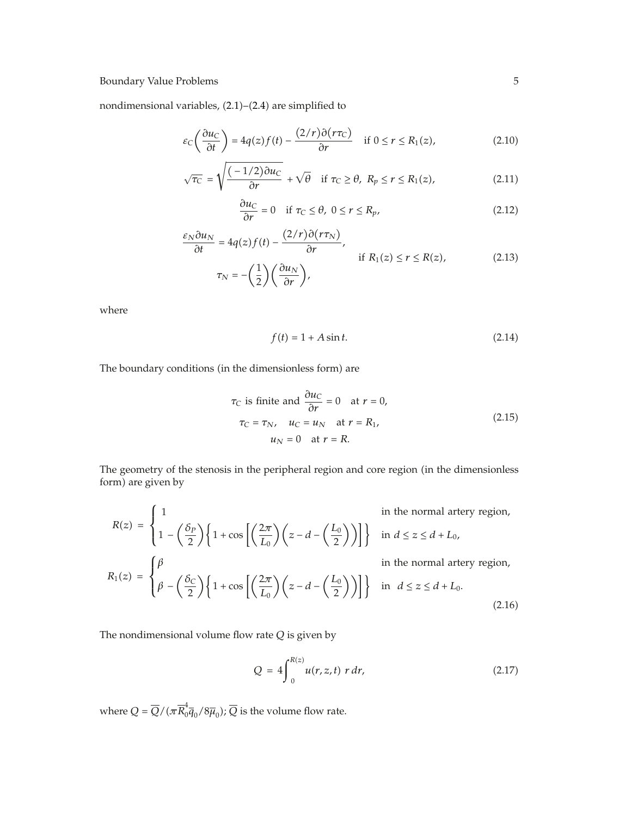nondimensional variables, (2.1)–(2.4) are simplified to

$$
\varepsilon_C \left( \frac{\partial u_C}{\partial t} \right) = 4q(z)f(t) - \frac{(2/r)\partial (r\tau_C)}{\partial r} \quad \text{if } 0 \le r \le R_1(z), \tag{2.10}
$$

$$
\sqrt{\tau_C} = \sqrt{\frac{(-1/2)\partial u_C}{\partial r}} + \sqrt{\theta} \quad \text{if } \tau_C \ge \theta, \ R_p \le r \le R_1(z), \tag{2.11}
$$

$$
\frac{\partial u_C}{\partial r} = 0 \quad \text{if } \tau_C \le \theta, \ 0 \le r \le R_p,\tag{2.12}
$$

$$
\frac{\varepsilon_N \partial u_N}{\partial t} = 4q(z)f(t) - \frac{(2/r)\partial(r\tau_N)}{\partial r},
$$
if  $R_1(z) \le r \le R(z)$ , (2.13)  

$$
\tau_N = -\left(\frac{1}{2}\right)\left(\frac{\partial u_N}{\partial r}\right),
$$

where

$$
f(t) = 1 + A\sin t. \tag{2.14}
$$

The boundary conditions (in the dimensionless form) are

$$
\tau_C \text{ is finite and } \frac{\partial u_C}{\partial r} = 0 \quad \text{at } r = 0,
$$
\n
$$
\tau_C = \tau_N, \quad u_C = u_N \quad \text{at } r = R_1,
$$
\n
$$
u_N = 0 \quad \text{at } r = R.
$$
\n(2.15)

The geometry of the stenosis in the peripheral region and core region (in the dimensionless form) are given by

$$
R(z) = \begin{cases} 1 & \text{in the normal artery region,} \\ 1 - \left(\frac{\delta_P}{2}\right) \left\{1 + \cos\left[\left(\frac{2\pi}{L_0}\right) \left(z - d - \left(\frac{L_0}{2}\right)\right)\right]\right\} & \text{in } d \le z \le d + L_0, \\ \beta - \left(\frac{\beta_C}{2}\right) \left\{1 + \cos\left[\left(\frac{2\pi}{L_0}\right) \left(z - d - \left(\frac{L_0}{2}\right)\right)\right]\right\} & \text{in } d \le z \le d + L_0. \end{cases}
$$
\n
$$
R_1(z) = \begin{cases} \beta & \text{in the normal artery region,} \\ \beta - \left(\frac{\delta_C}{2}\right) \left\{1 + \cos\left[\left(\frac{2\pi}{L_0}\right) \left(z - d - \left(\frac{L_0}{2}\right)\right)\right]\right\} & \text{in } d \le z \le d + L_0. \end{cases}
$$
\n
$$
(2.16)
$$

The nondimensional volume flow rate *Q* is given by

$$
Q = 4 \int_0^{R(z)} u(r, z, t) \ r \ dr,
$$
 (2.17)

where  $Q = \overline{Q}/(\pi \overline{R}_0^4 \overline{q}_0 / 8 \overline{\mu}_0); \overline{Q}$  is the volume flow rate.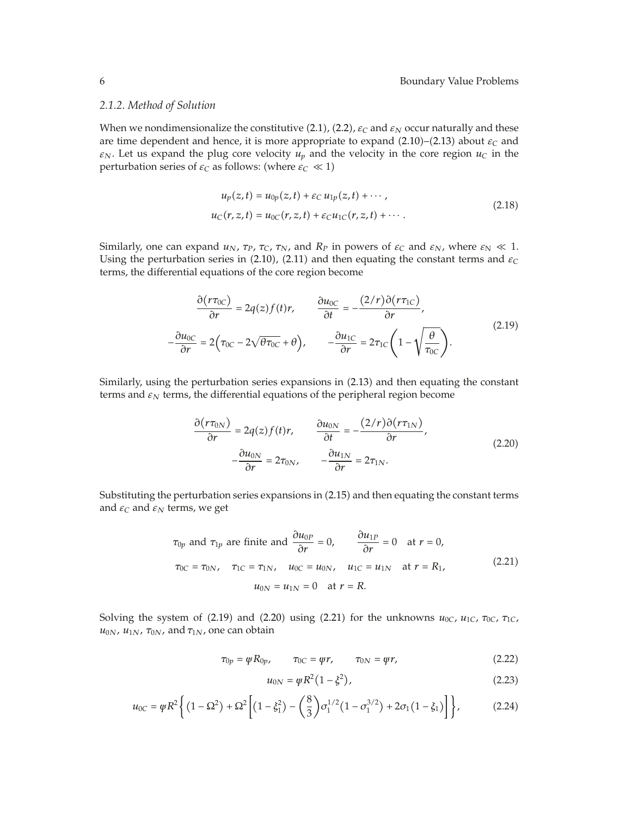#### *2.1.2. Method of Solution*

When we nondimensionalize the constitutive (2.1), (2.2),  $\varepsilon_C$  and  $\varepsilon_N$  occur naturally and these are time dependent and hence, it is more appropriate to expand  $(2.10)$ – $(2.13)$  about  $\varepsilon_C$  and  $\varepsilon_N$ . Let us expand the plug core velocity  $u_p$  and the velocity in the core region  $u_c$  in the perturbation series of  $\varepsilon_C$  as follows: (where  $\varepsilon_C \ll 1$ )

$$
u_p(z,t) = u_{0p}(z,t) + \varepsilon_C u_{1p}(z,t) + \cdots,
$$
  
\n
$$
u_C(r, z, t) = u_{0C}(r, z, t) + \varepsilon_C u_{1C}(r, z, t) + \cdots.
$$
\n(2.18)

Similarly, one can expand  $u_N$ ,  $\tau_P$ ,  $\tau_C$ ,  $\tau_N$ , and  $R_P$  in powers of  $\varepsilon_C$  and  $\varepsilon_N$ , where  $\varepsilon_N \ll 1$ . Using the perturbation series in  $(2.10)$ ,  $(2.11)$  and then equating the constant terms and  $\varepsilon$ <sub>C</sub> terms, the differential equations of the core region become

$$
\frac{\partial (r\tau_{0C})}{\partial r} = 2q(z)f(t)r, \qquad \frac{\partial u_{0C}}{\partial t} = -\frac{(2/r)\partial (r\tau_{1C})}{\partial r},
$$
\n
$$
-\frac{\partial u_{0C}}{\partial r} = 2(\tau_{0C} - 2\sqrt{\theta\tau_{0C}} + \theta), \qquad -\frac{\partial u_{1C}}{\partial r} = 2\tau_{1C}\left(1 - \sqrt{\frac{\theta}{\tau_{0C}}}\right).
$$
\n(2.19)

Similarly, using the perturbation series expansions in (2.13) and then equating the constant terms and  $\varepsilon_N$  terms, the differential equations of the peripheral region become

$$
\frac{\partial (r\tau_{0N})}{\partial r} = 2q(z)f(t)r, \qquad \frac{\partial u_{0N}}{\partial t} = -\frac{(2/r)\partial (r\tau_{1N})}{\partial r},
$$
  

$$
-\frac{\partial u_{0N}}{\partial r} = 2\tau_{0N}, \qquad -\frac{\partial u_{1N}}{\partial r} = 2\tau_{1N}.
$$
 (2.20)

Substituting the perturbation series expansions in (2.15) and then equating the constant terms and  $\varepsilon_C$  and  $\varepsilon_N$  terms, we get

$$
\tau_{0p} \text{ and } \tau_{1p} \text{ are finite and } \frac{\partial u_{0p}}{\partial r} = 0, \qquad \frac{\partial u_{1p}}{\partial r} = 0 \quad \text{at } r = 0,
$$
  

$$
\tau_{0C} = \tau_{0N}, \quad \tau_{1C} = \tau_{1N}, \quad u_{0C} = u_{0N}, \quad u_{1C} = u_{1N} \quad \text{at } r = R_1,
$$
  

$$
u_{0N} = u_{1N} = 0 \quad \text{at } r = R.
$$
  
(2.21)

Solving the system of (2.19) and (2.20) using (2.21) for the unknowns  $u_{0C}$ ,  $u_{1C}$ ,  $\tau_{0C}$ ,  $\tau_{1C}$ ,  $u<sub>0N</sub>$ ,  $u<sub>1N</sub>$ ,  $τ<sub>0N</sub>$ , and  $τ<sub>1N</sub>$ , one can obtain

$$
\tau_{0p} = \psi R_{0p}, \qquad \tau_{0C} = \psi r, \qquad \tau_{0N} = \psi r,
$$
\n
$$
(2.22)
$$

$$
u_{0N} = \psi R^2 (1 - \xi^2), \tag{2.23}
$$

$$
u_{0C} = \psi R^2 \left\{ (1 - \Omega^2) + \Omega^2 \left[ (1 - \xi_1^2) - \left( \frac{8}{3} \right) \sigma_1^{1/2} (1 - \sigma_1^{3/2}) + 2 \sigma_1 (1 - \xi_1) \right] \right\},
$$
(2.24)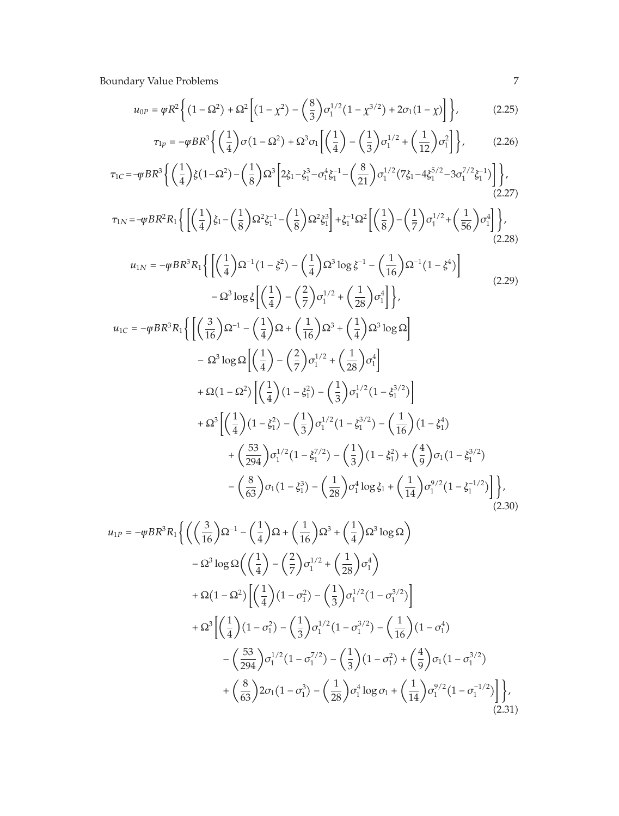$$
u_{0P} = \psi R^2 \left\{ (1 - \Omega^2) + \Omega^2 \left[ (1 - \chi^2) - \left( \frac{8}{3} \right) \sigma_1^{1/2} (1 - \chi^{3/2}) + 2 \sigma_1 (1 - \chi) \right] \right\},\tag{2.25}
$$

$$
\tau_{1p} = -\psi BR^3 \left\{ \left( \frac{1}{4} \right) \sigma \left( 1 - \Omega^2 \right) + \Omega^3 \sigma_1 \left[ \left( \frac{1}{4} \right) - \left( \frac{1}{3} \right) \sigma_1^{1/2} + \left( \frac{1}{12} \right) \sigma_1^2 \right] \right\},\tag{2.26}
$$

$$
\tau_{1C} = -\psi BR^3 \left\{ \left( \frac{1}{4} \right) \xi (1 - \Omega^2) - \left( \frac{1}{8} \right) \Omega^3 \left[ 2 \xi_1 - \xi_1^3 - \sigma_1^4 \xi_1^{-1} - \left( \frac{8}{21} \right) \sigma_1^{1/2} (7 \xi_1 - 4 \xi_1^{5/2} - 3 \sigma_1^{7/2} \xi_1^{-1}) \right] \right\},\tag{2.27}
$$

$$
\tau_{1N} = -\psi BR^2 R_1 \left\{ \left[ \left( \frac{1}{4} \right) \xi_1 - \left( \frac{1}{8} \right) \Omega^2 \xi_1^{-1} - \left( \frac{1}{8} \right) \Omega^2 \xi_1^3 \right] + \xi_1^{-1} \Omega^2 \left[ \left( \frac{1}{8} \right) - \left( \frac{1}{7} \right) \sigma_1^{1/2} + \left( \frac{1}{56} \right) \sigma_1^4 \right] \right\},\tag{2.28}
$$

$$
u_{1N} = -\psi BR^3 R_1 \left\{ \left[ \left( \frac{1}{4} \right) \Omega^{-1} (1 - \xi^2) - \left( \frac{1}{4} \right) \Omega^3 \log \xi^{-1} - \left( \frac{1}{16} \right) \Omega^{-1} (1 - \xi^4) \right] - \Omega^3 \log \xi \left[ \left( \frac{1}{4} \right) - \left( \frac{2}{7} \right) \sigma_1^{1/2} + \left( \frac{1}{28} \right) \sigma_1^4 \right] \right\},
$$
\n(2.29)

$$
u_{1C} = -\psi BR^3 R_1 \Biggl\{ \Biggl[ \Biggl( \frac{3}{16} \Biggr) \Omega^{-1} - \Biggl( \frac{1}{4} \Biggr) \Omega + \Biggl( \frac{1}{16} \Biggr) \Omega^3 + \Biggl( \frac{1}{4} \Biggr) \Omega^3 \log \Omega \Biggr] \Biggr\}- \Omega^3 \log \Omega \Biggl[ \Biggl( \frac{1}{4} \Biggr) - \Biggl( \frac{2}{7} \Biggr) \sigma_1^{1/2} + \Biggl( \frac{1}{28} \Biggr) \sigma_1^4 \Biggr] + \Omega (1 - \Omega^2) \Biggl[ \Biggl( \frac{1}{4} \Biggr) (1 - \xi_1^2) - \Biggl( \frac{1}{3} \Biggr) \sigma_1^{1/2} (1 - \xi_1^{3/2}) \Biggr] + \Omega^3 \Biggl[ \Biggl( \frac{1}{4} \Biggr) (1 - \xi_1^2) - \Biggl( \frac{1}{3} \Biggr) \sigma_1^{1/2} (1 - \xi_1^{3/2}) - \Biggl( \frac{1}{16} \Biggr) (1 - \xi_1^4) + \Biggl( \frac{53}{294} \Biggr) \sigma_1^{1/2} (1 - \xi_1^{7/2}) - \Biggl( \frac{1}{3} \Biggr) (1 - \xi_1^2) + \Biggl( \frac{4}{9} \Biggr) \sigma_1 (1 - \xi_1^{3/2}) - \Biggl( \frac{8}{63} \Biggr) \sigma_1 (1 - \xi_1^3) - \Biggl( \frac{1}{28} \Biggr) \sigma_1^4 \log \xi_1 + \Biggl( \frac{1}{14} \Biggr) \sigma_1^{9/2} (1 - \xi_1^{-1/2}) \Biggr] \Biggr\}, \tag{2.30}
$$

$$
u_{1P} = -\varphi BR^3 R_1 \left\{ \left( \left( \frac{3}{16} \right) \Omega^{-1} - \left( \frac{1}{4} \right) \Omega + \left( \frac{1}{16} \right) \Omega^3 + \left( \frac{1}{4} \right) \Omega^3 \log \Omega \right) \right.- \Omega^3 \log \Omega \left( \left( \frac{1}{4} \right) - \left( \frac{2}{7} \right) \sigma_1^{1/2} + \left( \frac{1}{28} \right) \sigma_1^4 \right) + \Omega (1 - \Omega^2) \left[ \left( \frac{1}{4} \right) (1 - \sigma_1^2) - \left( \frac{1}{3} \right) \sigma_1^{1/2} (1 - \sigma_1^{3/2}) \right] + \Omega^3 \left[ \left( \frac{1}{4} \right) (1 - \sigma_1^2) - \left( \frac{1}{3} \right) \sigma_1^{1/2} (1 - \sigma_1^{3/2}) - \left( \frac{1}{16} \right) (1 - \sigma_1^4) \right. - \left( \frac{53}{294} \right) \sigma_1^{1/2} (1 - \sigma_1^{7/2}) - \left( \frac{1}{3} \right) (1 - \sigma_1^2) + \left( \frac{4}{9} \right) \sigma_1 (1 - \sigma_1^{3/2}) + \left( \frac{8}{63} \right) 2 \sigma_1 (1 - \sigma_1^3) - \left( \frac{1}{28} \right) \sigma_1^4 \log \sigma_1 + \left( \frac{1}{14} \right) \sigma_1^{9/2} (1 - \sigma_1^{-1/2}) \right) \right\},
$$
(2.31)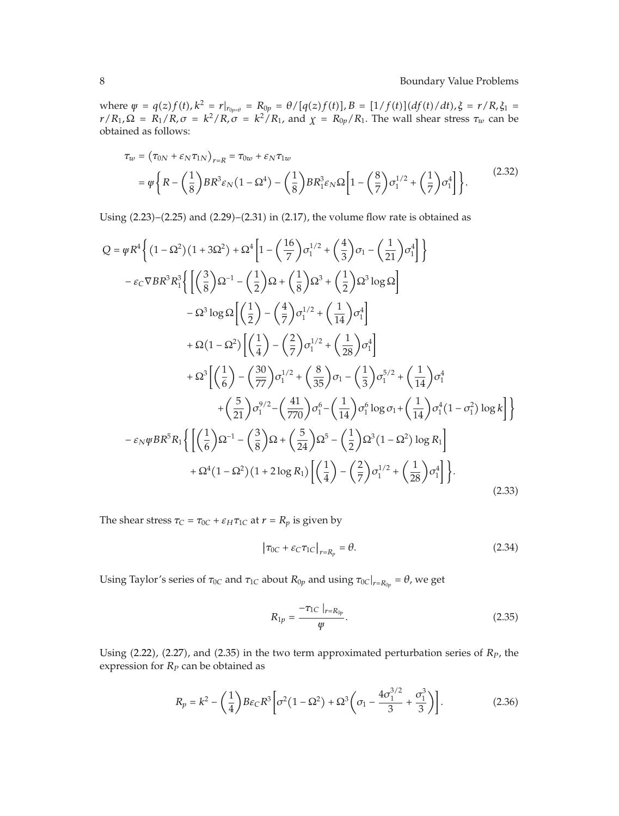where  $\psi = q(z)f(t)$ ,  $k^2 = r|_{r_{0p=\theta}} = R_{0p} = \theta/[q(z)f(t)]$ ,  $B = [1/f(t)](df(t)/dt)$ ,  $\xi = r/R$ ,  $\xi_1 =$  $r/R_1$ ,  $\Omega = R_1/R$ ,  $\sigma = k^2/R$ ,  $\sigma = k^2/R_1$ , and  $\chi = R_{0p}/R_1$ . The wall shear stress  $\tau_w$  can be obtained as follows:

$$
\tau_w = (\tau_{0N} + \varepsilon_N \tau_{1N})_{r=R} = \tau_{0w} + \varepsilon_N \tau_{1w}
$$
  
=  $\psi \left\{ R - \left( \frac{1}{8} \right) BR^3 \varepsilon_N (1 - \Omega^4) - \left( \frac{1}{8} \right) BR_1^3 \varepsilon_N \Omega \left[ 1 - \left( \frac{8}{7} \right) \sigma_1^{1/2} + \left( \frac{1}{7} \right) \sigma_1^4 \right] \right\}.$  (2.32)

Using  $(2.23)$ – $(2.25)$  and  $(2.29)$ – $(2.31)$  in  $(2.17)$ , the volume flow rate is obtained as

$$
Q = \psi R^{4} \Biggl\{ (1 - \Omega^{2})(1 + 3\Omega^{2}) + \Omega^{4} \Biggl[ 1 - \Biggl( \frac{16}{7} \Biggr) \sigma_{1}^{1/2} + \Biggl( \frac{4}{3} \Biggr) \sigma_{1} - \Biggl( \frac{1}{21} \Biggr) \sigma_{1}^{4} \Biggr] \Biggr\}- \varepsilon_{C} \nabla BR^{3} R_{1}^{3} \Biggl\{ \Biggl[ \Biggl( \frac{3}{8} \Biggr) \Omega^{-1} - \Biggl( \frac{1}{2} \Biggr) \Omega + \Biggl( \frac{1}{8} \Biggr) \Omega^{3} + \Biggl( \frac{1}{2} \Biggr) \Omega^{3} \log \Omega \Biggr] - \Omega^{3} \log \Omega \Biggl[ \Biggl( \frac{1}{2} \Biggr) - \Biggl( \frac{4}{7} \Biggr) \sigma_{1}^{1/2} + \Biggl( \frac{1}{14} \Biggr) \sigma_{1}^{4} \Biggr] + \Omega (1 - \Omega^{2}) \Biggl[ \Biggl( \frac{1}{4} \Biggr) - \Biggl( \frac{2}{7} \Biggr) \sigma_{1}^{1/2} + \Biggl( \frac{1}{28} \Biggr) \sigma_{1}^{4} \Biggr] + \Omega^{3} \Biggl[ \Biggl( \frac{1}{6} \Biggr) - \Biggl( \frac{30}{77} \Biggr) \sigma_{1}^{1/2} + \Biggl( \frac{8}{35} \Biggr) \sigma_{1} - \Biggl( \frac{1}{3} \Biggr) \sigma_{1}^{5/2} + \Biggl( \frac{1}{14} \Biggr) \sigma_{1}^{4} + \Biggl( \frac{5}{21} \Biggr) \sigma_{1}^{9/2} - \Biggl( \frac{41}{770} \Biggr) \sigma_{1}^{6} - \Biggl( \frac{1}{14} \Biggr) \sigma_{1}^{6} \log \sigma_{1} + \Biggl( \frac{1}{14} \Biggr) \sigma_{1}^{4} (1 - \sigma_{1}^{2}) \log k \Biggr] \Biggr\} - \varepsilon_{N} \psi BR^{5} R_{1} \Biggl\{ \Biggl[ \Biggl( \frac{1}{6} \Biggr) \Omega^{-1} - \Biggl( \frac{3}{8} \Biggr) \Omega + \Biggl( \frac{5}{
$$

The shear stress  $\tau_C = \tau_{0C} + \varepsilon_H \tau_{1C}$  at  $r = R_p$  is given by

$$
\left|\tau_{0C} + \varepsilon_C \tau_{1C}\right|_{r=R_p} = \theta. \tag{2.34}
$$

Using Taylor's series of  $\tau_{0C}$  and  $\tau_{1C}$  about  $R_{0p}$  and using  $\tau_{0C}|_{r=R_{0p}} = \theta$ , we get

$$
R_{1p} = \frac{-\tau_{1C} \mid_{r=R_{0p}}}{\psi}.
$$
 (2.35)

Using  $(2.22)$ ,  $(2.27)$ , and  $(2.35)$  in the two term approximated perturbation series of  $R<sub>P</sub>$ , the expression for *RP* can be obtained as

$$
R_p = k^2 - \left(\frac{1}{4}\right) B\varepsilon_C R^3 \left[\sigma^2 (1 - \Omega^2) + \Omega^3 \left(\sigma_1 - \frac{4\sigma_1^{3/2}}{3} + \frac{\sigma_1^3}{3}\right)\right].
$$
 (2.36)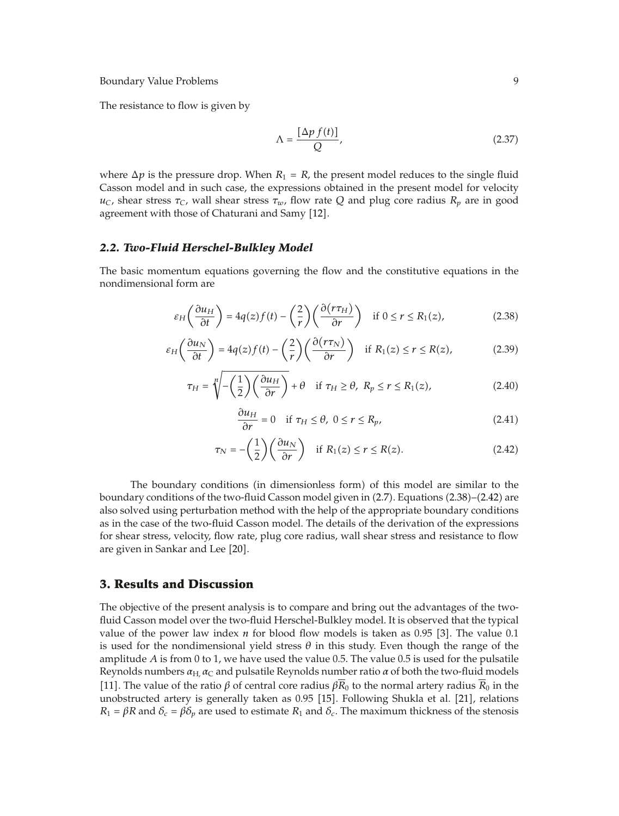The resistance to flow is given by

$$
\Lambda = \frac{\left[\Delta p \, f(t)\right]}{Q},\tag{2.37}
$$

where  $\Delta p$  is the pressure drop. When  $R_1 = R$ , the present model reduces to the single fluid Casson model and in such case, the expressions obtained in the present model for velocity  $u<sub>C</sub>$ , shear stress  $\tau<sub>C</sub>$ , wall shear stress  $\tau<sub>w</sub>$ , flow rate Q and plug core radius  $R<sub>p</sub>$  are in good agreement with those of Chaturani and Samy [12].

## *2.2. Two-Fluid Herschel-Bulkley Model*

The basic momentum equations governing the flow and the constitutive equations in the nondimensional form are

$$
\varepsilon_H \left( \frac{\partial u_H}{\partial t} \right) = 4q(z)f(t) - \left( \frac{2}{r} \right) \left( \frac{\partial (r\tau_H)}{\partial r} \right) \quad \text{if } 0 \le r \le R_1(z), \tag{2.38}
$$

$$
\varepsilon_H \left( \frac{\partial u_N}{\partial t} \right) = 4q(z)f(t) - \left( \frac{2}{r} \right) \left( \frac{\partial (r\tau_N)}{\partial r} \right) \quad \text{if } R_1(z) \le r \le R(z), \tag{2.39}
$$

$$
\tau_H = \sqrt[n]{-\left(\frac{1}{2}\right)\left(\frac{\partial u_H}{\partial r}\right)} + \theta \quad \text{if } \tau_H \ge \theta, \ R_p \le r \le R_1(z), \tag{2.40}
$$

$$
\frac{\partial u_H}{\partial r} = 0 \quad \text{if } \tau_H \le \theta, \ 0 \le r \le R_p,
$$
\n(2.41)

$$
\tau_N = -\left(\frac{1}{2}\right)\left(\frac{\partial u_N}{\partial r}\right) \quad \text{if } R_1(z) \le r \le R(z). \tag{2.42}
$$

The boundary conditions (in dimensionless form) of this model are similar to the boundary conditions of the two-fluid Casson model given in (2.7). Equations (2.38)–(2.42) are also solved using perturbation method with the help of the appropriate boundary conditions as in the case of the two-fluid Casson model. The details of the derivation of the expressions for shear stress, velocity, flow rate, plug core radius, wall shear stress and resistance to flow are given in Sankar and Lee [20].

## **3. Results and Discussion**

The objective of the present analysis is to compare and bring out the advantages of the twofluid Casson model over the two-fluid Herschel-Bulkley model. It is observed that the typical value of the power law index  $n$  for blood flow models is taken as 0.95 [3]. The value 0.1 is used for the nondimensional yield stress  $\theta$  in this study. Even though the range of the amplitude *A* is from 0 to 1, we have used the value 0.5. The value 0.5 is used for the pulsatile Reynolds numbers  $\alpha_{H}$ ,  $\alpha_{C}$  and pulsatile Reynolds number ratio  $\alpha$  of both the two-fluid models [11]. The value of the ratio  $\beta$  of central core radius  $\beta \overline{R}_0$  to the normal artery radius  $\overline{R}_0$  in the unobstructed artery is generally taken as 0.95 [15]. Following Shukla et al. [21], relations *R*<sub>1</sub> = *βR* and *δ<sub>c</sub>* = *βδ<sub>p</sub>* are used to estimate *R*<sub>1</sub> and *δ<sub>c</sub>*. The maximum thickness of the stenosis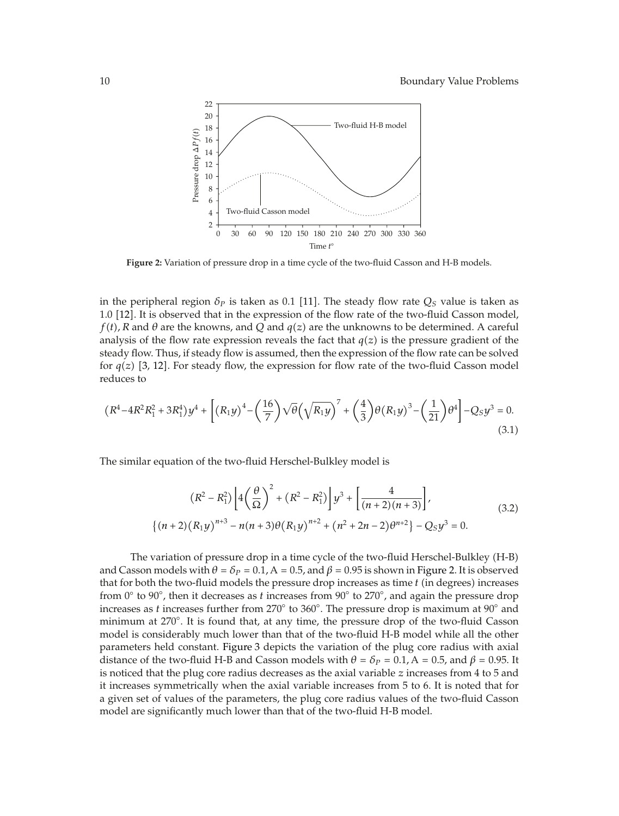

**Figure 2:** Variation of pressure drop in a time cycle of the two-fluid Casson and H-B models.

in the peripheral region  $\delta_p$  is taken as 0.1 [11]. The steady flow rate  $Q_S$  value is taken as 1.0 12. It is observed that in the expression of the flow rate of the two-fluid Casson model,  $f(t)$ , R and  $\theta$  are the knowns, and Q and  $q(z)$  are the unknowns to be determined. A careful analysis of the flow rate expression reveals the fact that  $q(z)$  is the pressure gradient of the steady flow. Thus, if steady flow is assumed, then the expression of the flow rate can be solved for  $q(z)$  [3, 12]. For steady flow, the expression for flow rate of the two-fluid Casson model reduces to

$$
(R^4 - 4R^2R_1^2 + 3R_1^4)y^4 + \left[ (R_1y)^4 - \left(\frac{16}{7}\right)\sqrt{\theta}\left(\sqrt{R_1y}\right)^7 + \left(\frac{4}{3}\right)\theta(R_1y)^3 - \left(\frac{1}{21}\right)\theta^4 \right] - Q_Sy^3 = 0. \tag{3.1}
$$

The similar equation of the two-fluid Herschel-Bulkley model is

$$
(R^{2} - R_{1}^{2}) \left[ 4\left(\frac{\theta}{\Omega}\right)^{2} + (R^{2} - R_{1}^{2}) \right] y^{3} + \left[ \frac{4}{(n+2)(n+3)} \right],
$$
  

$$
\{(n+2)(R_{1}y)^{n+3} - n(n+3)\theta (R_{1}y)^{n+2} + (n^{2} + 2n - 2)\theta^{n+2} \} - Q_{5}y^{3} = 0.
$$
 (3.2)

The variation of pressure drop in a time cycle of the two-fluid Herschel-Bulkley (H-B) and Casson models with  $\theta = \delta_P = 0.1$ , A = 0.5, and  $\beta = 0.95$  is shown in Figure 2. It is observed that for both the two-fluid models the pressure drop increases as time  $t$  (in degrees) increases from 0◦ to 90◦ , then it decreases as *t* increases from 90◦ to 270◦ , and again the pressure drop increases as *t* increases further from 270◦ to 360◦ . The pressure drop is maximum at 90◦ and minimum at 270◦ . It is found that, at any time, the pressure drop of the two-fluid Casson model is considerably much lower than that of the two-fluid H-B model while all the other parameters held constant. Figure 3 depicts the variation of the plug core radius with axial distance of the two-fluid H-B and Casson models with  $\theta = \delta_P = 0.1$ , A = 0.5, and  $\beta = 0.95$ . It is noticed that the plug core radius decreases as the axial variable *z* increases from 4 to 5 and it increases symmetrically when the axial variable increases from 5 to 6. It is noted that for a given set of values of the parameters, the plug core radius values of the two-fluid Casson model are significantly much lower than that of the two-fluid H-B model.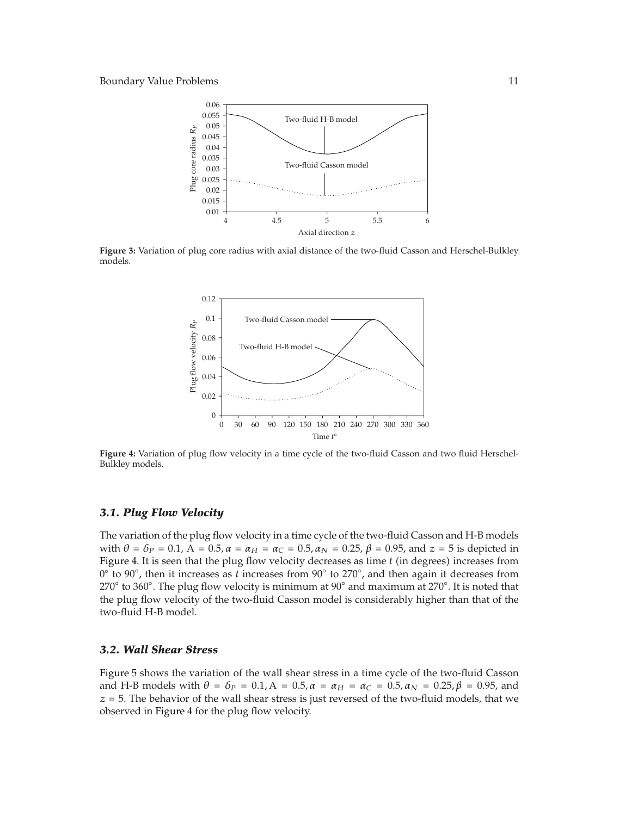

**Figure 3:** Variation of plug core radius with axial distance of the two-fluid Casson and Herschel-Bulkley models.



**Figure 4:** Variation of plug flow velocity in a time cycle of the two-fluid Casson and two fluid Herschel-Bulkley models.

## *3.1. Plug Flow Velocity*

The variation of the plug flow velocity in a time cycle of the two-fluid Casson and H-B models with *θ* =  $δ_P$  = 0.1, A = 0.5*, α* =  $α_H$  =  $α_C$  = 0.5*, α<sub>N</sub>* = 0.25*, β* = 0.95*,* and *z* = 5 is depicted in Figure 4. It is seen that the plug flow velocity decreases as time  $t$  (in degrees) increases from 0◦ to 90◦ , then it increases as *t* increases from 90◦ to 270◦ , and then again it decreases from 270◦ to 360◦ . The plug flow velocity is minimum at 90◦ and maximum at 270◦ . It is noted that the plug flow velocity of the two-fluid Casson model is considerably higher than that of the two-fluid H-B model.

## *3.2. Wall Shear Stress*

Figure 5 shows the variation of the wall shear stress in a time cycle of the two-fluid Casson and H-B models with  $\theta = \delta_P = 0.1$ ,  $A = 0.5$ ,  $\alpha = \alpha_H = \alpha_C = 0.5$ ,  $\alpha_N = 0.25$ ,  $\beta = 0.95$ , and  $z = 5$ . The behavior of the wall shear stress is just reversed of the two-fluid models, that we observed in Figure 4 for the plug flow velocity.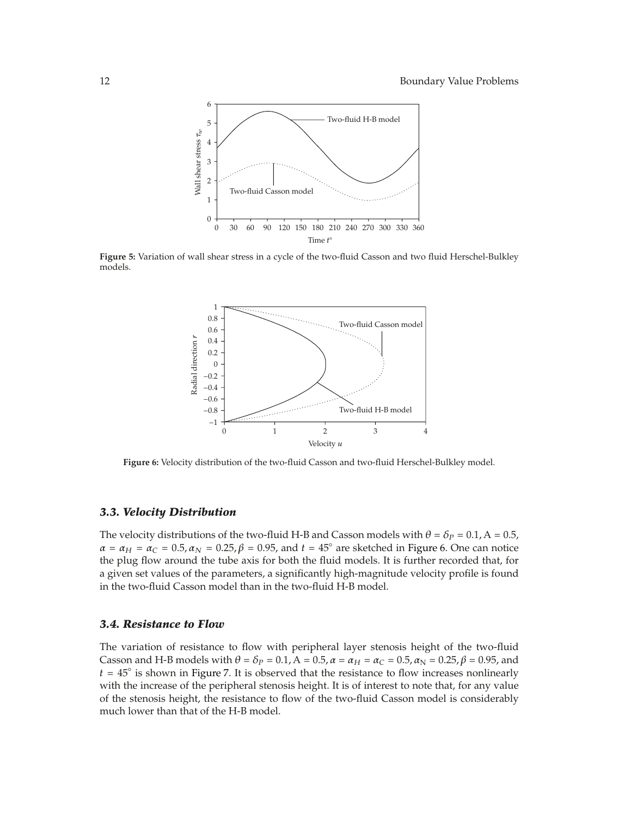

**Figure 5:** Variation of wall shear stress in a cycle of the two-fluid Casson and two fluid Herschel-Bulkley models.



**Figure 6:** Velocity distribution of the two-fluid Casson and two-fluid Herschel-Bulkley model.

## *3.3. Velocity Distribution*

The velocity distributions of the two-fluid H-B and Casson models with  $\theta = \delta_P = 0.1$ , A = 0.5,  $\alpha = \alpha_H = \alpha_C = 0.5$ ,  $\alpha_N = 0.25$ ,  $\beta = 0.95$ , and  $t = 45^\circ$  are sketched in Figure 6. One can notice the plug flow around the tube axis for both the fluid models. It is further recorded that, for a given set values of the parameters, a significantly high-magnitude velocity profile is found in the two-fluid Casson model than in the two-fluid H-B model.

#### *3.4. Resistance to Flow*

The variation of resistance to flow with peripheral layer stenosis height of the two-fluid Casson and H-B models with  $\theta = \delta_P = 0.1$ ,  $A = 0.5$ ,  $\alpha = \alpha_H = \alpha_C = 0.5$ ,  $\alpha_N = 0.25$ ,  $\beta = 0.95$ , and  $t = 45°$  is shown in Figure 7. It is observed that the resistance to flow increases nonlinearly with the increase of the peripheral stenosis height. It is of interest to note that, for any value of the stenosis height, the resistance to flow of the two-fluid Casson model is considerably much lower than that of the H-B model.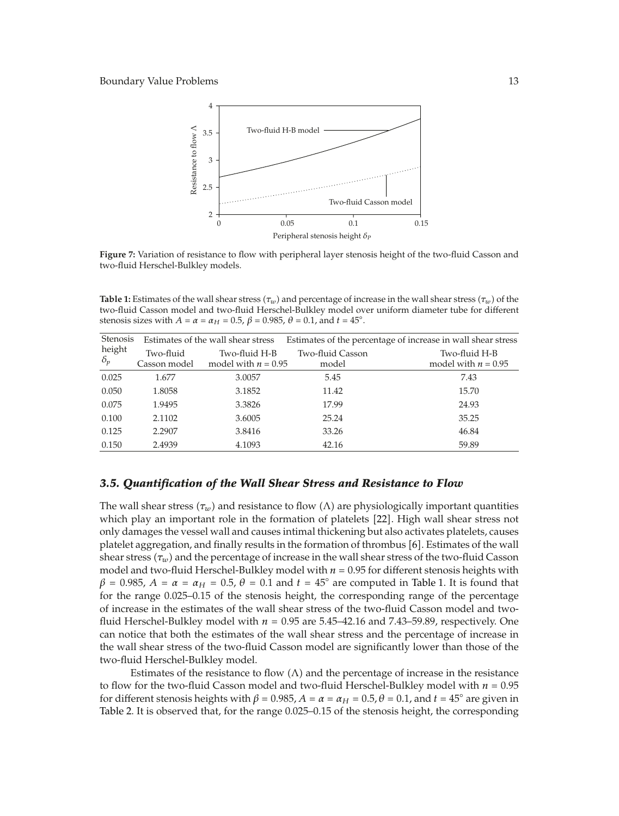

**Figure 7:** Variation of resistance to flow with peripheral layer stenosis height of the two-fluid Casson and two-fluid Herschel-Bulkley models.

**Table 1:** Estimates of the wall shear stress  $(\tau_w)$  and percentage of increase in the wall shear stress  $(\tau_w)$  of the two-fluid Herschel-Bulkley model over uniform diameter tube for different two-fluid Casson model and two-fluid Herschel-Bulkley model over uniform diameter tube for different stenosis sizes with  $A = \alpha = \alpha_H = 0.5$ ,  $\beta = 0.985$ ,  $\theta = 0.1$ , and  $t = 45^\circ$ .

| Stenosis   | Estimates of the wall shear stress |                       | Estimates of the percentage of increase in wall shear stress |                       |
|------------|------------------------------------|-----------------------|--------------------------------------------------------------|-----------------------|
| height     | Two-fluid                          | Two-fluid H-B         | Two-fluid Casson                                             | Two-fluid H-B         |
| $\delta_p$ | Casson model                       | model with $n = 0.95$ | model                                                        | model with $n = 0.95$ |
| 0.025      | 1.677                              | 3.0057                | 5.45                                                         | 7.43                  |
| 0.050      | 1.8058                             | 3.1852                | 11.42                                                        | 15.70                 |
| 0.075      | 1.9495                             | 3.3826                | 17.99                                                        | 24.93                 |
| 0.100      | 2.1102                             | 3.6005                | 25.24                                                        | 35.25                 |
| 0.125      | 2.2907                             | 3.8416                | 33.26                                                        | 46.84                 |
| 0.150      | 2.4939                             | 4.1093                | 42.16                                                        | 59.89                 |

## *3.5. Quantification of the Wall Shear Stress and Resistance to Flow*

The wall shear stress  $(\tau_w)$  and resistance to flow ( $\Lambda$ ) are physiologically important quantities which play an important role in the formation of platelets [22]. High wall shear stress not only damages the vessel wall and causes intimal thickening but also activates platelets, causes platelet aggregation, and finally results in the formation of thrombus [6]. Estimates of the wall shear stress  $(\tau_w)$  and the percentage of increase in the wall shear stress of the two-fluid Casson model and two-fluid Herschel-Bulkley model with  $n = 0.95$  for different stenosis heights with  $\beta$  = 0.985, *A* =  $\alpha$  =  $\alpha_H$  = 0.5,  $\theta$  = 0.1 and *t* = 45° are computed in Table 1. It is found that for the range 0.025–0.15 of the stenosis height, the corresponding range of the percentage of increase in the estimates of the wall shear stress of the two-fluid Casson model and twofluid Herschel-Bulkley model with  $n = 0.95$  are 5.45–42.16 and 7.43–59.89, respectively. One can notice that both the estimates of the wall shear stress and the percentage of increase in the wall shear stress of the two-fluid Casson model are significantly lower than those of the two-fluid Herschel-Bulkley model.

Estimates of the resistance to flow  $(\Lambda)$  and the percentage of increase in the resistance to flow for the two-fluid Casson model and two-fluid Herschel-Bulkley model with  $n = 0.95$ for different stenosis heights with  $β = 0.985$ ,  $A = α = α$ H = 0.5*i*,  $θ = 0.1$ *,* and  $t = 45°$  are given in Table 2. It is observed that, for the range 0.025–0.15 of the stenosis height, the corresponding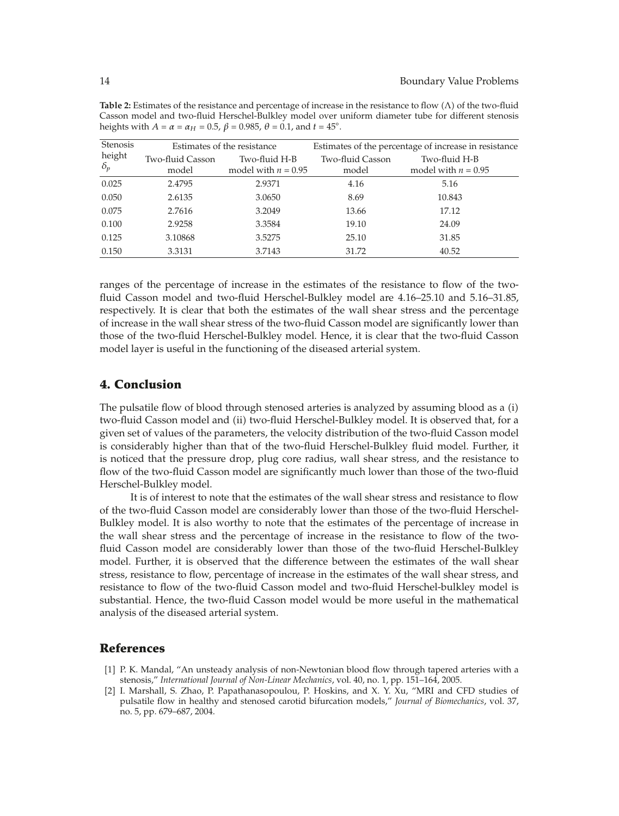| Table 2: Estimates of the resistance and percentage of increase in the resistance to flow $(\Lambda)$ of the two-fluid |
|------------------------------------------------------------------------------------------------------------------------|
| Casson model and two-fluid Herschel-Bulkley model over uniform diameter tube for different stenosis                    |
| heights with $A = \alpha = \alpha_H = 0.5$ , $\beta = 0.985$ , $\theta = 0.1$ , and $t = 45^{\circ}$ .                 |

| <b>Stenosis</b>      | Estimates of the resistance |                                        | Estimates of the percentage of increase in resistance |                                        |  |
|----------------------|-----------------------------|----------------------------------------|-------------------------------------------------------|----------------------------------------|--|
| height<br>$\delta_p$ | Two-fluid Casson<br>model   | Two-fluid H-B<br>model with $n = 0.95$ | Two-fluid Casson<br>model                             | Two-fluid H-B<br>model with $n = 0.95$ |  |
| 0.025                | 2.4795                      | 2.9371                                 | 4.16                                                  | 5.16                                   |  |
| 0.050                | 2.6135                      | 3.0650                                 | 8.69                                                  | 10.843                                 |  |
| 0.075                | 2.7616                      | 3.2049                                 | 13.66                                                 | 17.12                                  |  |
| 0.100                | 2.9258                      | 3.3584                                 | 19.10                                                 | 24.09                                  |  |
| 0.125                | 3.10868                     | 3.5275                                 | 25.10                                                 | 31.85                                  |  |
| 0.150                | 3.3131                      | 3.7143                                 | 31.72                                                 | 40.52                                  |  |

ranges of the percentage of increase in the estimates of the resistance to flow of the twofluid Casson model and two-fluid Herschel-Bulkley model are 4.16–25.10 and 5.16–31.85, respectively. It is clear that both the estimates of the wall shear stress and the percentage of increase in the wall shear stress of the two-fluid Casson model are significantly lower than those of the two-fluid Herschel-Bulkley model. Hence, it is clear that the two-fluid Casson model layer is useful in the functioning of the diseased arterial system.

# **4. Conclusion**

The pulsatile flow of blood through stenosed arteries is analyzed by assuming blood as a (i) two-fluid Casson model and (ii) two-fluid Herschel-Bulkley model. It is observed that, for a given set of values of the parameters, the velocity distribution of the two-fluid Casson model is considerably higher than that of the two-fluid Herschel-Bulkley fluid model. Further, it is noticed that the pressure drop, plug core radius, wall shear stress, and the resistance to flow of the two-fluid Casson model are significantly much lower than those of the two-fluid Herschel-Bulkley model.

It is of interest to note that the estimates of the wall shear stress and resistance to flow of the two-fluid Casson model are considerably lower than those of the two-fluid Herschel-Bulkley model. It is also worthy to note that the estimates of the percentage of increase in the wall shear stress and the percentage of increase in the resistance to flow of the twofluid Casson model are considerably lower than those of the two-fluid Herschel-Bulkley model. Further, it is observed that the difference between the estimates of the wall shear stress, resistance to flow, percentage of increase in the estimates of the wall shear stress, and resistance to flow of the two-fluid Casson model and two-fluid Herschel-bulkley model is substantial. Hence, the two-fluid Casson model would be more useful in the mathematical analysis of the diseased arterial system.

## **References**

- [1] P. K. Mandal, "An unsteady analysis of non-Newtonian blood flow through tapered arteries with a stenosis," *International Journal of Non-Linear Mechanics*, vol. 40, no. 1, pp. 151–164, 2005.
- 2 I. Marshall, S. Zhao, P. Papathanasopoulou, P. Hoskins, and X. Y. Xu, "MRI and CFD studies of pulsatile flow in healthy and stenosed carotid bifurcation models," *Journal of Biomechanics*, vol. 37, no. 5, pp. 679–687, 2004.